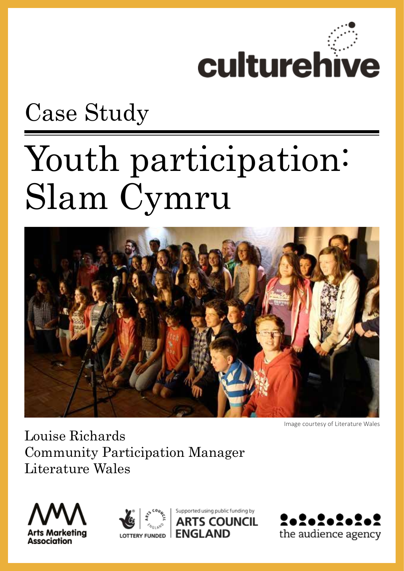

## Case Study

# Youth participation: Slam Cymru



Image courtesy of Literature Wales

Louise Richards Community Participation Manager Literature Wales





Supported using public funding by S COUNCIL

**FNGLAND** 

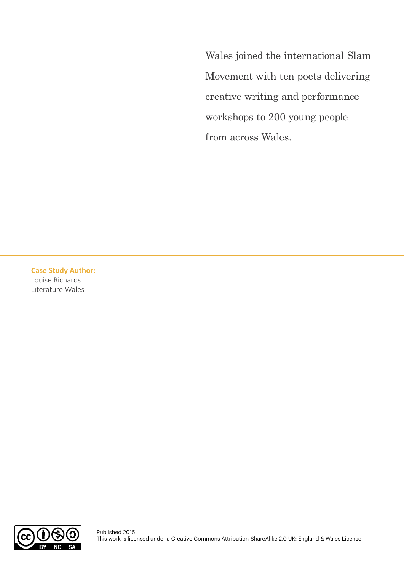Wales joined the international Slam Movement with ten poets delivering creative writing and performance workshops to 200 young people from across Wales.

**Case Study Author:**  Louise Richards Literature Wales

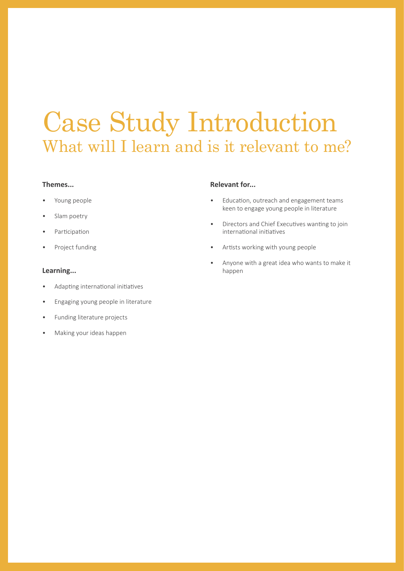### Case Study Introduction What will I learn and is it relevant to me?

#### **Themes...**

- Young people
- Slam poetry
- **Participation**
- Project funding

#### **Learning...**

- Adapting international initiatives
- Engaging young people in literature
- Funding literature projects
- Making your ideas happen

#### **Relevant for...**

- Education, outreach and engagement teams keen to engage young people in literature
- Directors and Chief Executives wanting to join international initiatives
- Artists working with young people
- Anyone with a great idea who wants to make it happen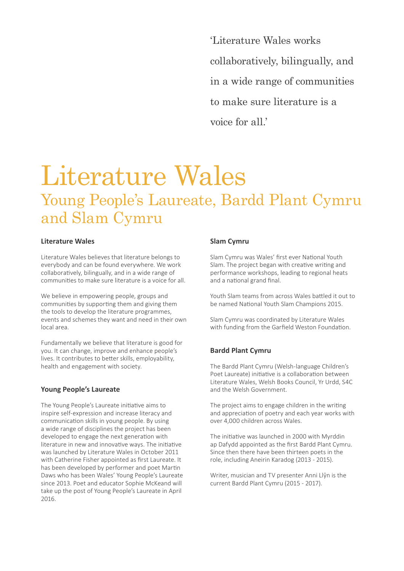'Literature Wales works collaboratively, bilingually, and in a wide range of communities to make sure literature is a voice for all.'

### Literature Wales Young People's Laureate, Bardd Plant Cymru and Slam Cymru

#### **Literature Wales**

Literature Wales believes that literature belongs to everybody and can be found everywhere. We work collaboratively, bilingually, and in a wide range of communities to make sure literature is a voice for all.

We believe in empowering people, groups and communities by supporting them and giving them the tools to develop the literature programmes, events and schemes they want and need in their own local area.

Fundamentally we believe that literature is good for you. It can change, improve and enhance people's lives. It contributes to better skills, employability, health and engagement with society.

#### **Young People's Laureate**

The Young People's Laureate initiative aims to inspire self-expression and increase literacy and communication skills in young people. By using a wide range of disciplines the project has been developed to engage the next generation with literature in new and innovative ways. The initiative was launched by Literature Wales in October 2011 with Catherine Fisher appointed as first Laureate. It has been developed by performer and poet Martin Daws who has been Wales' Young People's Laureate since 2013. Poet and educator Sophie McKeand will take up the post of Young People's Laureate in April 2016.

#### **Slam Cymru**

Slam Cymru was Wales' first ever National Youth Slam. The project began with creative writing and performance workshops, leading to regional heats and a national grand final.

Youth Slam teams from across Wales battled it out to be named National Youth Slam Champions 2015.

Slam Cymru was coordinated by Literature Wales with funding from the Garfield Weston Foundation.

#### **Bardd Plant Cymru**

The Bardd Plant Cymru (Welsh-language Children's Poet Laureate) initiative is a collaboration between Literature Wales, Welsh Books Council, Yr Urdd, S4C and the Welsh Government.

The project aims to engage children in the writing and appreciation of poetry and each year works with over 4,000 children across Wales.

The initiative was launched in 2000 with Myrddin ap Dafydd appointed as the first Bardd Plant Cymru. Since then there have been thirteen poets in the role, including Aneirin Karadog (2013 - 2015).

Writer, musician and TV presenter Anni Llŷn is the current Bardd Plant Cymru (2015 - 2017).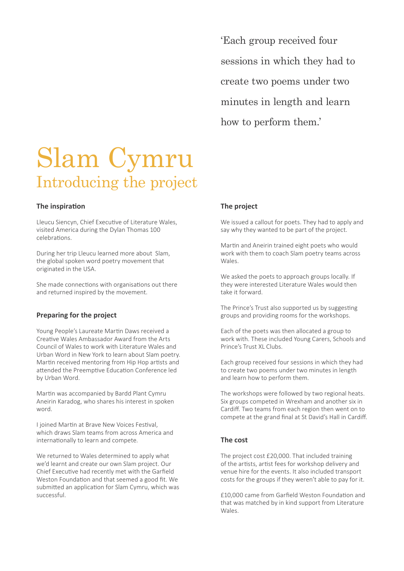'Each group received four sessions in which they had to create two poems under two minutes in length and learn how to perform them.'

### Slam Cymru Introducing the project

#### **The inspiration**

Lleucu Siencyn, Chief Executive of Literature Wales, visited America during the Dylan Thomas 100 celebrations.

During her trip Lleucu learned more about Slam, the global spoken word poetry movement that originated in the USA.

She made connections with organisations out there and returned inspired by the movement.

#### **Preparing for the project**

Young People's Laureate Martin Daws received a Creative Wales Ambassador Award from the Arts Council of Wales to work with Literature Wales and Urban Word in New York to learn about Slam poetry. Martin received mentoring from Hip Hop artists and attended the Preemptive Education Conference led by Urban Word.

Martin was accompanied by Bardd Plant Cymru Aneirin Karadog, who shares his interest in spoken word.

I joined Martin at Brave New Voices Festival, which draws Slam teams from across America and internationally to learn and compete.

We returned to Wales determined to apply what we'd learnt and create our own Slam project. Our Chief Executive had recently met with the Garfield Weston Foundation and that seemed a good fit. We submitted an application for Slam Cymru, which was successful.

#### **The project**

We issued a callout for poets. They had to apply and say why they wanted to be part of the project.

Martin and Aneirin trained eight poets who would work with them to coach Slam poetry teams across Wales.

We asked the poets to approach groups locally. If they were interested Literature Wales would then take it forward.

The Prince's Trust also supported us by suggesting groups and providing rooms for the workshops.

Each of the poets was then allocated a group to work with. These included Young Carers, Schools and Prince's Trust XL Clubs.

Each group received four sessions in which they had to create two poems under two minutes in length and learn how to perform them.

The workshops were followed by two regional heats. Six groups competed in Wrexham and another six in Cardiff. Two teams from each region then went on to compete at the grand final at St David's Hall in Cardiff.

#### **The cost**

The project cost £20,000. That included training of the artists, artist fees for workshop delivery and venue hire for the events. It also included transport costs for the groups if they weren't able to pay for it.

£10,000 came from Garfield Weston Foundation and that was matched by in kind support from Literature Wales.